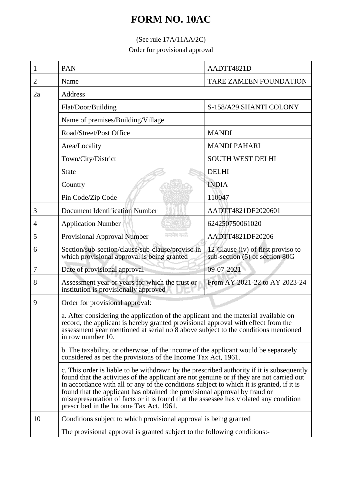# **FORM NO. 10AC**

## (See rule 17A/11AA/2C)

Order for provisional approval

| 1  | PAN                                                                                                                                                                                                                                                                                                                                                                                                                                                                                                   | AADTT4821D                                                           |  |
|----|-------------------------------------------------------------------------------------------------------------------------------------------------------------------------------------------------------------------------------------------------------------------------------------------------------------------------------------------------------------------------------------------------------------------------------------------------------------------------------------------------------|----------------------------------------------------------------------|--|
| 2  | Name                                                                                                                                                                                                                                                                                                                                                                                                                                                                                                  | <b>TARE ZAMEEN FOUNDATION</b>                                        |  |
| 2a | Address                                                                                                                                                                                                                                                                                                                                                                                                                                                                                               |                                                                      |  |
|    | Flat/Door/Building                                                                                                                                                                                                                                                                                                                                                                                                                                                                                    | S-158/A29 SHANTI COLONY                                              |  |
|    | Name of premises/Building/Village                                                                                                                                                                                                                                                                                                                                                                                                                                                                     |                                                                      |  |
|    | Road/Street/Post Office                                                                                                                                                                                                                                                                                                                                                                                                                                                                               | <b>MANDI</b>                                                         |  |
|    | Area/Locality                                                                                                                                                                                                                                                                                                                                                                                                                                                                                         | <b>MANDI PAHARI</b>                                                  |  |
|    | Town/City/District                                                                                                                                                                                                                                                                                                                                                                                                                                                                                    | <b>SOUTH WEST DELHI</b>                                              |  |
|    | <b>State</b>                                                                                                                                                                                                                                                                                                                                                                                                                                                                                          | <b>DELHI</b>                                                         |  |
|    | Country                                                                                                                                                                                                                                                                                                                                                                                                                                                                                               | <b>INDIA</b>                                                         |  |
|    | Pin Code/Zip Code                                                                                                                                                                                                                                                                                                                                                                                                                                                                                     | 110047                                                               |  |
| 3  | <b>Document Identification Number</b>                                                                                                                                                                                                                                                                                                                                                                                                                                                                 | AADTT4821DF2020601                                                   |  |
| 4  | <b>Application Number</b>                                                                                                                                                                                                                                                                                                                                                                                                                                                                             | 624250750061020                                                      |  |
| 5  | सम्प्रका क्याते.<br>Provisional Approval Number                                                                                                                                                                                                                                                                                                                                                                                                                                                       | AADTT4821DF20206                                                     |  |
| 6  | Section/sub-section/clause/sub-clause/proviso in<br>which provisional approval is being granted                                                                                                                                                                                                                                                                                                                                                                                                       | 12-Clause (iv) of first proviso to<br>sub-section (5) of section 80G |  |
| 7  | Date of provisional approval                                                                                                                                                                                                                                                                                                                                                                                                                                                                          | 09-07-2021                                                           |  |
| 8  | Assessment year or years for which the trust or<br>institution is provisionally approved                                                                                                                                                                                                                                                                                                                                                                                                              | From AY 2021-22 to AY 2023-24                                        |  |
| 9  | Order for provisional approval:<br>a. After considering the application of the applicant and the material available on<br>record, the applicant is hereby granted provisional approval with effect from the<br>assessment year mentioned at serial no 8 above subject to the conditions mentioned<br>in row number 10.<br>b. The taxability, or otherwise, of the income of the applicant would be separately<br>considered as per the provisions of the Income Tax Act, 1961.                        |                                                                      |  |
|    |                                                                                                                                                                                                                                                                                                                                                                                                                                                                                                       |                                                                      |  |
|    |                                                                                                                                                                                                                                                                                                                                                                                                                                                                                                       |                                                                      |  |
|    | c. This order is liable to be withdrawn by the prescribed authority if it is subsequently<br>found that the activities of the applicant are not genuine or if they are not carried out<br>in accordance with all or any of the conditions subject to which it is granted, if it is<br>found that the applicant has obtained the provisional approval by fraud or<br>misrepresentation of facts or it is found that the assessee has violated any condition<br>prescribed in the Income Tax Act, 1961. |                                                                      |  |
| 10 | Conditions subject to which provisional approval is being granted                                                                                                                                                                                                                                                                                                                                                                                                                                     |                                                                      |  |
|    | The provisional approval is granted subject to the following conditions:-                                                                                                                                                                                                                                                                                                                                                                                                                             |                                                                      |  |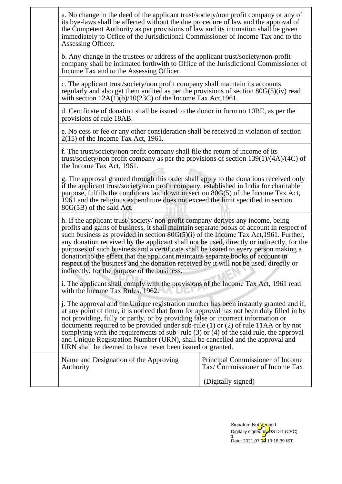|                                                                                                                                                                                                                                                                                                                                                                                                                                                                                                                                                                                                              | a. No change in the deed of the applicant trust/society/non profit company or any of<br>its bye-laws shall be affected without the due procedure of law and the approval of<br>the Competent Authority as per provisions of law and its intimation shall be given<br>immediately to Office of the Jurisdictional Commissioner of Income Tax and to the<br>Assessing Officer.                                                                                                                                                                                                                                                                                                           |                                                                    |  |
|--------------------------------------------------------------------------------------------------------------------------------------------------------------------------------------------------------------------------------------------------------------------------------------------------------------------------------------------------------------------------------------------------------------------------------------------------------------------------------------------------------------------------------------------------------------------------------------------------------------|----------------------------------------------------------------------------------------------------------------------------------------------------------------------------------------------------------------------------------------------------------------------------------------------------------------------------------------------------------------------------------------------------------------------------------------------------------------------------------------------------------------------------------------------------------------------------------------------------------------------------------------------------------------------------------------|--------------------------------------------------------------------|--|
|                                                                                                                                                                                                                                                                                                                                                                                                                                                                                                                                                                                                              | b. Any change in the trustees or address of the applicant trust/society/non-profit<br>company shall be intimated forthwith to Office of the Jurisdictional Commissioner of<br>Income Tax and to the Assessing Officer.                                                                                                                                                                                                                                                                                                                                                                                                                                                                 |                                                                    |  |
|                                                                                                                                                                                                                                                                                                                                                                                                                                                                                                                                                                                                              | c. The applicant trust/society/non profit company shall maintain its accounts<br>regularly and also get them audited as per the provisions of section 80G(5)(iv) read<br>with section $12A(1)(b)/10(23C)$ of the Income Tax Act, 1961.                                                                                                                                                                                                                                                                                                                                                                                                                                                 |                                                                    |  |
|                                                                                                                                                                                                                                                                                                                                                                                                                                                                                                                                                                                                              | d. Certificate of donation shall be issued to the donor in form no 10BE, as per the<br>provisions of rule 18AB.                                                                                                                                                                                                                                                                                                                                                                                                                                                                                                                                                                        |                                                                    |  |
|                                                                                                                                                                                                                                                                                                                                                                                                                                                                                                                                                                                                              | e. No cess or fee or any other consideration shall be received in violation of section<br>$2(15)$ of the Income Tax Act, 1961.                                                                                                                                                                                                                                                                                                                                                                                                                                                                                                                                                         |                                                                    |  |
|                                                                                                                                                                                                                                                                                                                                                                                                                                                                                                                                                                                                              | f. The trust/society/non profit company shall file the return of income of its<br>trust/society/non profit company as per the provisions of section $139(1)/(4A)/(4C)$ of<br>the Income Tax Act, 1961.                                                                                                                                                                                                                                                                                                                                                                                                                                                                                 |                                                                    |  |
|                                                                                                                                                                                                                                                                                                                                                                                                                                                                                                                                                                                                              | g. The approval granted through this order shall apply to the donations received only<br>if the applicant trust/society/non profit company, established in India for charitable<br>purpose, fulfills the conditions laid down in section 80G(5) of the Income Tax Act,<br>1961 and the religious expenditure does not exceed the limit specified in section<br>80G(5B) of the said Act.                                                                                                                                                                                                                                                                                                |                                                                    |  |
|                                                                                                                                                                                                                                                                                                                                                                                                                                                                                                                                                                                                              | h. If the applicant trust/society/non-profit company derives any income, being<br>profits and gains of business, it shall maintain separate books of account in respect of<br>such business as provided in section $80G(5)(i)$ of the Income Tax Act, 1961. Further,<br>any donation received by the applicant shall not be used, directly or indirectly, for the<br>purposes of such business and a certificate shall be issued to every person making a<br>donation to the effect that the applicant maintains separate books of account in<br>respect of the business and the donation received by it will not be used, directly or<br>indirectly, for the purpose of the business. |                                                                    |  |
|                                                                                                                                                                                                                                                                                                                                                                                                                                                                                                                                                                                                              | i. The applicant shall comply with the provisions of the Income Tax Act, 1961 read<br>with the Income Tax Rules, 1962.                                                                                                                                                                                                                                                                                                                                                                                                                                                                                                                                                                 |                                                                    |  |
| j. The approval and the Unique registration number has been instantly granted and if,<br>at any point of time, it is noticed that form for approval has not been duly filled in by<br>not providing, fully or partly, or by providing false or incorrect information or<br>documents required to be provided under sub-rule $(1)$ or $(2)$ of rule 11AA or by not<br>complying with the requirements of sub-rule $(3)$ or $(4)$ of the said rule, the approval<br>and Unique Registration Number (URN), shall be cancelled and the approval and<br>URN shall be deemed to have never been issued or granted. |                                                                                                                                                                                                                                                                                                                                                                                                                                                                                                                                                                                                                                                                                        |                                                                    |  |
|                                                                                                                                                                                                                                                                                                                                                                                                                                                                                                                                                                                                              | Name and Designation of the Approving<br>Authority                                                                                                                                                                                                                                                                                                                                                                                                                                                                                                                                                                                                                                     | Principal Commissioner of Income<br>Tax/Commissioner of Income Tax |  |
|                                                                                                                                                                                                                                                                                                                                                                                                                                                                                                                                                                                                              |                                                                                                                                                                                                                                                                                                                                                                                                                                                                                                                                                                                                                                                                                        | (Digitally signed)                                                 |  |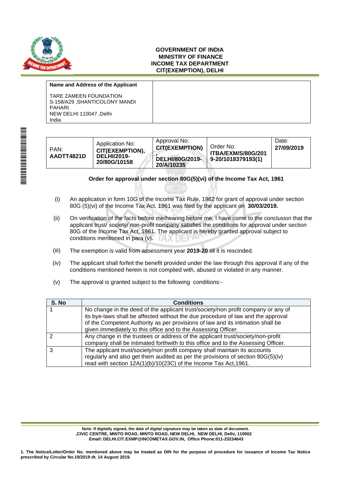

#### **GOVERNMENT OF INDIA MINISTRY OF FINANCE INCOME TAX DEPARTMENT CIT(EXEMPTION), DELHI**

#### **Name and Address of the Applicant**

TARE ZAMEEN FOUNDATION S-158/A29 ,SHANTICOLONY MANDI PAHARI NEW DELHI 110047 ,Delhi India

| PAN:<br>AADTT4821D | Application No:<br><b>CIT(EXEMPTION),</b><br><b>DELHI/2019-</b><br>20/80G/10158 | Approval No:<br><b>CIT(EXEMPTION)</b><br>DELHI/80G/2019-<br>20/A/10235 | Order No:<br><b>ITBA/EXM/S/80G/201</b><br>9-20/1018379193(1) | Date:<br>27/09/2019 |
|--------------------|---------------------------------------------------------------------------------|------------------------------------------------------------------------|--------------------------------------------------------------|---------------------|
|                    |                                                                                 |                                                                        |                                                              |                     |

### **Order for approval under section 80G(5)(vi) of the Income Tax Act, 1961**

- (i) An application in form 10G of the Income Tax Rule, 1962 for grant of approval under section 80G (5)(vi) of the Income Tax Act, 1961 was filed by the applicant on **30/03/2019.**
- (ii) On verification of the facts before me/hearing before me, I have come to the conclusion that the applicant trust/ society/ non-profit company satisfies the conditions for approval under section 80G of the Income Tax Act, 1961. The applicant is hereby granted approval subject to conditions mentioned in para (v).
- (iii) The exemption is valid from assessment year **2019-20** till it is rescinded.
- (iv) The applicant shall forfeit the benefit provided under the law through this approval if any of the conditions mentioned herein is not complied with, abused or violated in any manner.
- (v) The approval is granted subject to the following conditions:-

| S. No | <b>Conditions</b>                                                                                                                                                                                                                                                                                                          |
|-------|----------------------------------------------------------------------------------------------------------------------------------------------------------------------------------------------------------------------------------------------------------------------------------------------------------------------------|
|       | No change in the deed of the applicant trust/society/non profit company or any of<br>its bye-laws shall be affected without the due procedure of law and the approval<br>of the Competent Authority as per provisions of law and its intimation shall be<br>given immediately to this office and to the Assessing Officer. |
| າ     | Any change in the trustees or address of the applicant trust/society/non-profit<br>company shall be intimated forthwith to this office and to the Assessing Officer.                                                                                                                                                       |
| વ     | The applicant trust/society/non profit company shall maintain its accounts<br>regularly and also get them audited as per the provisions of section 80G(5)(iv)<br>read with section 12A(1)(b)/10(23C) of the Income Tax Act, 1961.                                                                                          |

**Note: If digitally signed, the date of digital signature may be taken as date of document. ,CIVIC CENTRE, MINTO ROAD, MINTO ROAD, NEW DELHI, NEW DELHI, Delhi, 110002 Email: DELHI.CIT.EXMP@INCOMETAX.GOV.IN, Office Phone:011-23234643**